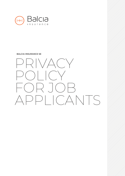

#### **BALCIA INSURANCE SE**

PRIVACY POLICY FOR JOB APPLICANTS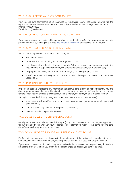# WHO IS YOUR PERSONAL DATA CONTROLLER?

Your personal data controller is Balcia Insurance SE (we, Balcia, insurer), registered in Latvia with the registration number 40003159840, legal address Krišjāņa Valdemāra iela 63, Riga, LV-1010, Latvia. Phone: +37167030500 E-mail: balcia@balcia.com

## HOW TO CONTACT OUR DATA PROTECTION OFFICER?

If you have any questions related with personal data processing done by Balcia, you can contact our data protection officer by sending an e-mail to dpo.contact@balcia.com or by calling +37167030500.

#### WHY DO WE PROCESS YOUR PERSONAL DATA?

We process your personal data when it is necessary for:

- Your identification;
- taking steps prior to entering into an employment contract;
- compliance with a legal obligation to which Balcia is subject, e.g. compliance with the requirements of supervisory authority, law enforcement institutions, tax authorities etc.;
- the purposes of the legitimate interests of Balcia, e.g. recruiting employees etc.;
- specific purposes you have given your consent to, e.g., to keep your CV to contact you for future vacancies etc.

### WHAT PERSONAL DATA DO WE PROCESS?

By personal data we understand any information that allows us to directly or indirectly identify you (the data subject), for example, name, identification number, location data, online identifier or one or more factors specific to the physical, physiological, genetic, mental, economic, cultural or social identity.

We might process the following categories of personal data (the list is not exhaustive):

- information which identifies you as an applicant for our vacancy (name, surname, address, email, phone number);
- data from your CV (education, job experience, skills etc.);
- data about and from your job interview.

#### HOW DO WE COLLECT YOUR PERSONAL DATA?

Usually we receive personal data directly from you (our job applicant) when you submit your application for our vacancy, if you have given your consent it is possible that we might receive some personal data (i.e. references) from your previous employer.

#### WHY DO YOU HAVE TO PROVIDE YOUR PERSONAL DATA TO US?

For Balcia to evaluate your compliance with the requirements of the particular job, you have to submit your personal data, such as educations, work experience etc. that is related with the particular job.

If you do not provide the information requested by Balcia that is relevant for the particular job, Balcia is not able to evaluate whether you are fit for the particular job, as a result you cannot be hired.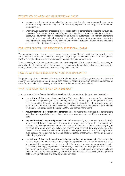## WITH WHOM DO WE SHARE YOUR PERSONAL DATA?

- In cases and to the extent specified by law we might transfer your personal to persons or institutions duly authorized by law, for example, supervisory authority, law enforcement institutions etc.
- We might use authorised processors for processing of your personal data related to our everyday operation, for example, postal, archiving services, translators, legal consultants etc. In such cases, we ensure that such processors provide sufficient guarantees to implement appropriate technical and organisational measures in such a manner that processing meets the requirements of the applicable law, including General Data Protection Regulation, and ensure the protection of the rights of the data subjects.

## FOR HOW LONG WILL WE PROCESS YOUR PERSONAL DATA?

Your personal data will be processed no longer than necessary. The data storing period may depend on the concluded contract, the consent you have provided, the legitimate interest of Balcia or the applicable law (for example, labour law, civil law, bookkeeping regulatory enactments etc.).

In cases when you withdraw your consent where you have provided it, in cases where it is necessary for our legitimate interests, we will still be processing your personal data we have collected during the period when your consent was valid until the data storage period expires.

### HOW DO WE ENSURE SECURITY OF YOUR PERSONAL DATA?

For processing of your personal data, we have implemented appropriate organizational and technical security measures to guarantee personal data security, including protection against unauthorized or unlawful personal data processing, accidental loss or destruction of personal data.

## WHAT ARE YOUR RIGHTS AS A DATA SUBJECT?

In accordance with the General Data Protection Regulation, as a data subject you have the right to:

- request from Balcia access to personal data. This means that you can request for us to inform you whether we process your personal data, provide you with a copy of your personal data we process, provide information about your personal data processed by us (for example, what data about you and for what purposes we collect, to whom we disclose your personal data, whether we transfer this data outside the European Union and other information);
- request from Balcia rectification of personal data. This means that if you see that personal data we collect about you is incorrect or inaccurate, you can request us to rectify or supplement such data;
- request from Balcia erasure of personal data. This means that you can request from us to delete your personal data in cases when this data is no longer necessary for the purposes it was collected for, when you have withdrawn your consent, when you object to processing of your personal data by us, when you believe we process your personal data unlawfully, and other cases. In some cases, we will not be obliged to delete your personal data, for example, when such processing is required by the applicable regulatory enactments or for the purposes for defending legal claims.
- request from Balcia restriction of processing concerning your personal data. This means that you can request us to restrict the processing of your personal data, except for storage, in cases you contest the accuracy of your personal data, you believe your personal data is being processed unlawfully, your personal data is no longer necessary for the purposes it was collected for, you object to processing of your personal data until it is checked, whether our legitimate reasons override your reasons. During the period of the restriction of processing of your personal data, we might not be able to provide you our services;